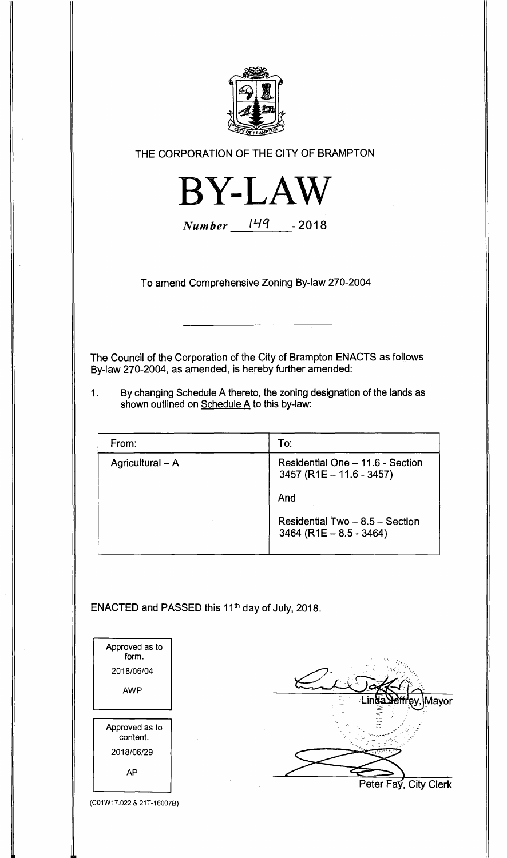

**THE CORPORATION OF THE CITY OF BRAMPTON** 



**Number**  $149 - 2018$ 

**To amend Comprehensive Zoning By-law 270-2004** 

**The Council of the Corporation of the City of Brampton ENACTS as follows By-law 270-2004, as amended, is hereby further amended:** 

**1. By changing Schedule A thereto, the zoning designation of the lands as shown outlined on Schedule A to this by-law:** 

| From:            | To:                                                            |
|------------------|----------------------------------------------------------------|
| Agricultural - A | Residential One - 11.6 - Section<br>$3457 (R1E - 11.6 - 3457)$ |
|                  | And                                                            |
|                  | Residential Two - 8.5 - Section<br>$3464 (R1E - 8.5 - 3464)$   |

ENACTED and PASSED this 11<sup>th</sup> day of July, 2018.

| Approved as to<br>form.<br>2018/06/04<br><b>AWP</b>   | da Jeffrev<br>Mayor   |
|-------------------------------------------------------|-----------------------|
| Approved as to<br>content.<br>2018/06/29<br><b>AP</b> | Peter Fay, City Clerk |

(C01W17.022 & 21T-16007B)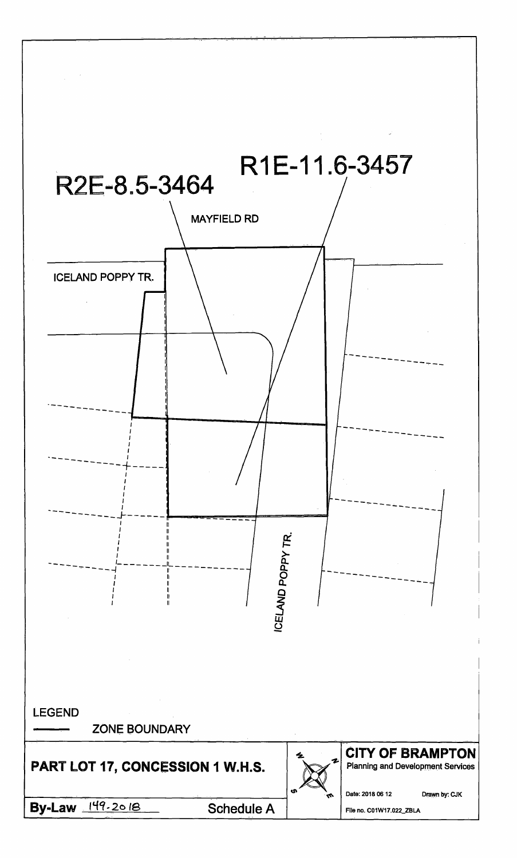